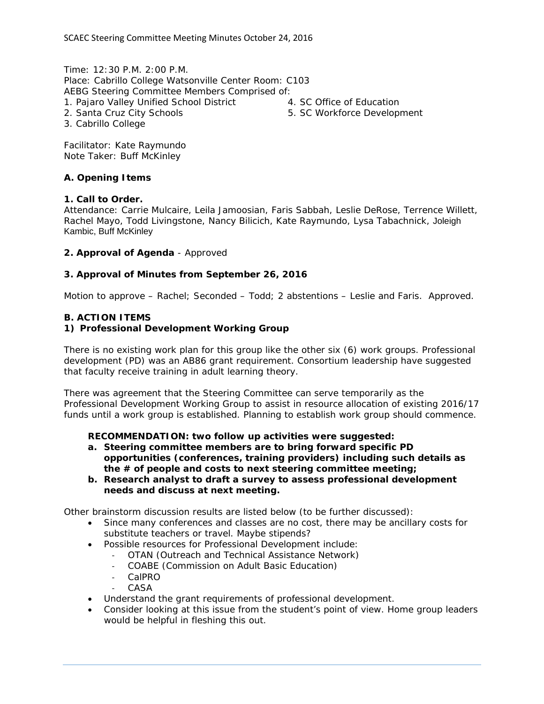Time: 12:30 P.M. 2:00 P.M. Place: Cabrillo College Watsonville Center Room: C103 AEBG Steering Committee Members Comprised of: 1. Pajaro Valley Unified School District

2. Santa Cruz City Schools

4. SC Office of Education

5. SC Workforce Development

3. Cabrillo College

Facilitator: Kate Raymundo Note Taker: Buff McKinley

### **A. Opening Items**

### **1. Call to Order.**

Attendance: Carrie Mulcaire, Leila Jamoosian, Faris Sabbah, Leslie DeRose, Terrence Willett, Rachel Mayo, Todd Livingstone, Nancy Bilicich, Kate Raymundo, Lysa Tabachnick, Joleigh Kambic, Buff McKinley

### **2. Approval of Agenda** - Approved

## **3. Approval of Minutes from September 26, 2016**

Motion to approve – Rachel; Seconded – Todd; 2 abstentions – Leslie and Faris. Approved.

### **B. ACTION ITEMS**

### **1) Professional Development Working Group**

There is no existing work plan for this group like the other six (6) work groups. Professional development (PD) was an AB86 grant requirement. Consortium leadership have suggested that faculty receive training in adult learning theory.

There was agreement that the Steering Committee can serve temporarily as the Professional Development Working Group to assist in resource allocation of existing 2016/17 funds until a work group is established. Planning to establish work group should commence.

**RECOMMENDATION: two follow up activities were suggested:** 

- **a. Steering committee members are to bring forward specific PD opportunities (conferences, training providers) including such details as the # of people and costs to next steering committee meeting;**
- **b. Research analyst to draft a survey to assess professional development needs and discuss at next meeting.**

Other brainstorm discussion results are listed below (to be further discussed):

- Since many conferences and classes are no cost, there may be ancillary costs for substitute teachers or travel. Maybe stipends?
- Possible resources for Professional Development include:
	- ‐ OTAN (Outreach and Technical Assistance Network)
	- ‐ COABE (Commission on Adult Basic Education)
	- ‐ CalPRO
	- **CASA**
- Understand the grant requirements of professional development.
- Consider looking at this issue from the student's point of view. Home group leaders would be helpful in fleshing this out.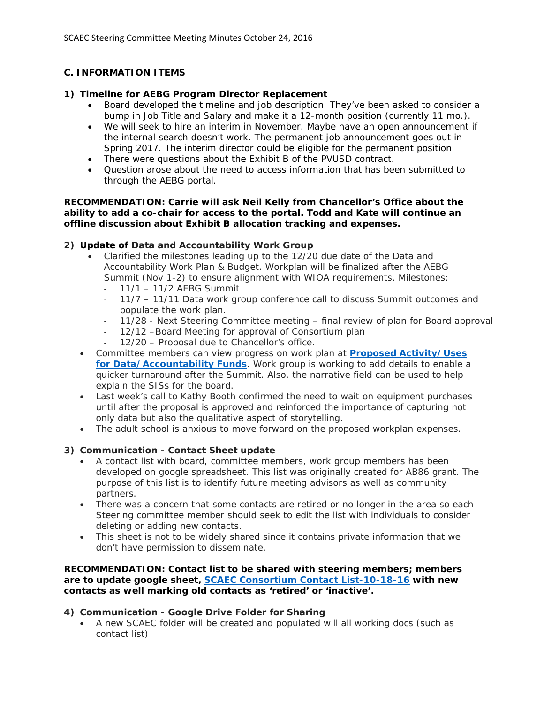# **C. INFORMATION ITEMS**

## **1) Timeline for AEBG Program Director Replacement**

- Board developed the timeline and job description. They've been asked to consider a bump in Job Title and Salary and make it a 12-month position (currently 11 mo.).
- We will seek to hire an interim in November. Maybe have an open announcement if the internal search doesn't work. The permanent job announcement goes out in Spring 2017. The interim director could be eligible for the permanent position.
- There were questions about the Exhibit B of the PVUSD contract.
- Question arose about the need to access information that has been submitted to through the AEBG portal.

### **RECOMMENDATION: Carrie will ask Neil Kelly from Chancellor's Office about the ability to add a co-chair for access to the portal. Todd and Kate will continue an offline discussion about Exhibit B allocation tracking and expenses.**

## **2) Update of Data and Accountability Work Group**

- Clarified the milestones leading up to the 12/20 due date of the Data and Accountability Work Plan & Budget. Workplan will be finalized after the AEBG Summit (Nov 1-2) to ensure alignment with WIOA requirements. Milestones:
	- ‐ 11/1 11/2 AEBG Summit
	- ‐ 11/7 11/11 Data work group conference call to discuss Summit outcomes and populate the work plan.
	- ‐ 11/28 Next Steering Committee meeting final review of plan for Board approval
	- ‐ 12/12 –Board Meeting for approval of Consortium plan
	- ‐ 12/20 Proposal due to Chancellor's office.
- Committee members can view progress on work plan at **Proposed Activity/Uses for Data/Accountability Funds**. Work group is working to add details to enable a quicker turnaround after the Summit. Also, the narrative field can be used to help explain the SISs for the board.
- Last week's call to Kathy Booth confirmed the need to wait on equipment purchases until after the proposal is approved and reinforced the importance of capturing not only data but also the qualitative aspect of storytelling.
- The adult school is anxious to move forward on the proposed workplan expenses.

# **3) Communication - Contact Sheet update**

- A contact list with board, committee members, work group members has been developed on google spreadsheet. This list was originally created for AB86 grant. The purpose of this list is to identify future meeting advisors as well as community partners.
- There was a concern that some contacts are retired or no longer in the area so each Steering committee member should seek to edit the list with individuals to consider deleting or adding new contacts.
- This sheet is not to be widely shared since it contains private information that we don't have permission to disseminate.

#### **RECOMMENDATION: Contact list to be shared with steering members; members are to update google sheet, SCAEC Consortium Contact List-10-18-16 with new contacts as well marking old contacts as 'retired' or 'inactive'.**

## **4) Communication - Google Drive Folder for Sharing**

 A new SCAEC folder will be created and populated will all working docs (such as contact list)